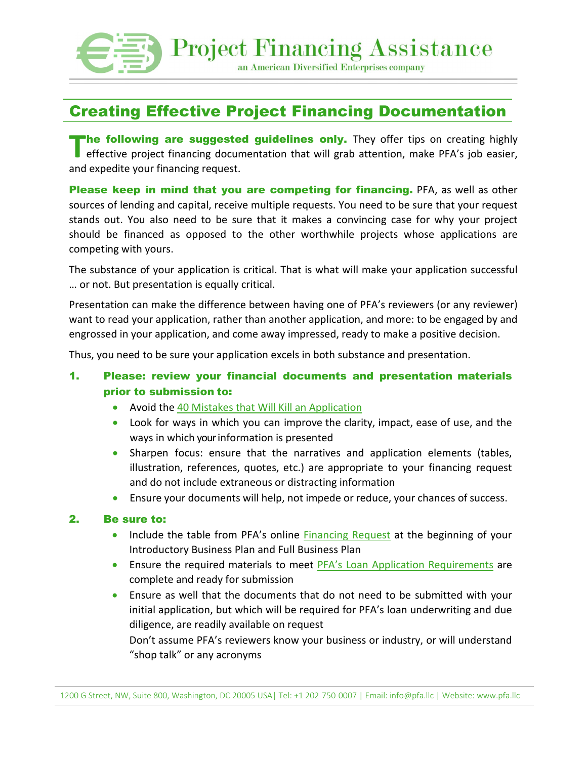

# Creating Effective Project Financing Documentation

**The following are suggested guidelines only.** They offer tips on creating highly effective project financing documentation that will grab attention, make PFA's job easier, effective project financing documentation that will grab attention, make PFA's job easier, and expedite your financing request.

**Please keep in mind that you are competing for financing.** PFA, as well as other sources of lending and capital, receive multiple requests. You need to be sure that your request stands out. You also need to be sure that it makes a convincing case for why your project should be financed as opposed to the other worthwhile projects whose applications are competing with yours.

The substance of your application is critical. That is what will make your application successful … or not. But presentation is equally critical.

Presentation can make the difference between having one of PFA's reviewers (or any reviewer) want to read your application, rather than another application, and more: to be engaged by and engrossed in your application, and come away impressed, ready to make a positive decision.

Thus, you need to be sure your application excels in both substance and presentation.

## 1. Please: review your financial documents and presentation materials prior to submission to:

- Avoid the [40 Mistakes that Will Kill an Application](https://www.pfa.llc/_files/ugd/7694c1_ad8ab16a94b14fd4b755c704e085aecc.pdf)
- Look for ways in which you can improve the clarity, impact, ease of use, and the ways in which your information is presented
- Sharpen focus: ensure that the narratives and application elements (tables, illustration, references, quotes, etc.) are appropriate to your financing request and do not include extraneous or distracting information
- Ensure your documents will help, not impede or reduce, your chances of success.

#### 2. Be sure to:

- Include the table from PFA's online [Financing Request](https://www.pfa.llc/financing-request-form) at the beginning of your Introductory Business Plan and Full Business Plan
- Ensure the required materials to meet [PFA's Loan Application Requirements](https://www.pfa.llc/_files/ugd/7694c1_31b718b1f0de47f781535c7fc0a5c4a2.pdf) are complete and ready for submission
- Ensure as well that the documents that do not need to be submitted with your initial application, but which will be required for PFA's loan underwriting and due diligence, are readily available on request

Don't assume PFA's reviewers know your business or industry, or will understand "shop talk" or any acronyms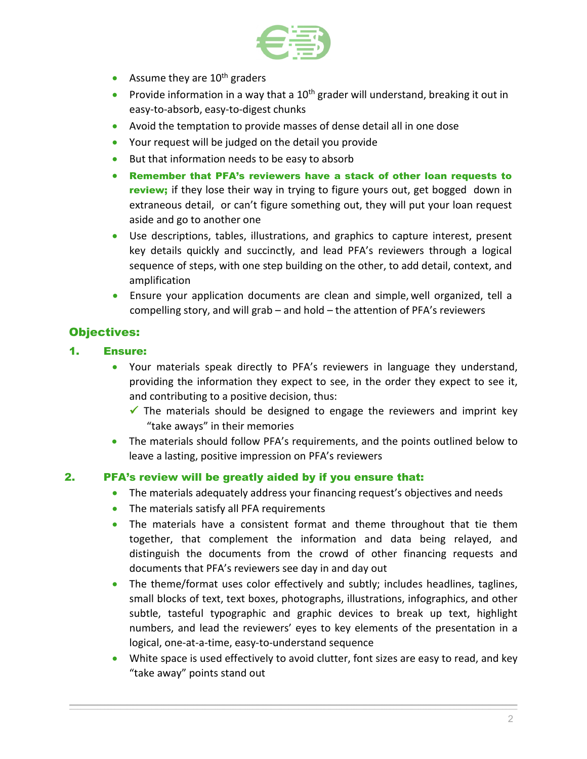

- Assume they are  $10<sup>th</sup>$  graders
- Provide information in a way that a  $10<sup>th</sup>$  grader will understand, breaking it out in easy-to-absorb, easy-to-digest chunks
- Avoid the temptation to provide masses of dense detail all in one dose
- Your request will be judged on the detail you provide
- But that information needs to be easy to absorb
- Remember that PFA's reviewers have a stack of other loan requests to review; if they lose their way in trying to figure yours out, get bogged down in extraneous detail, or can't figure something out, they will put your loan request aside and go to another one
- Use descriptions, tables, illustrations, and graphics to capture interest, present key details quickly and succinctly, and lead PFA's reviewers through a logical sequence of steps, with one step building on the other, to add detail, context, and amplification
- Ensure your application documents are clean and simple, well organized, tell a compelling story, and will grab – and hold – the attention of PFA's reviewers

## Objectives:

### 1. Ensure:

- Your materials speak directly to PFA's reviewers in language they understand, providing the information they expect to see, in the order they expect to see it, and contributing to a positive decision, thus:
	- $\checkmark$  The materials should be designed to engage the reviewers and imprint key "take aways" in their memories
- The materials should follow PFA's requirements, and the points outlined below to leave a lasting, positive impression on PFA's reviewers

### 2. PFA's review will be greatly aided by if you ensure that:

- The materials adequately address your financing request's objectives and needs
- The materials satisfy all PFA requirements
- The materials have a consistent format and theme throughout that tie them together, that complement the information and data being relayed, and distinguish the documents from the crowd of other financing requests and documents that PFA's reviewers see day in and day out
- The theme/format uses color effectively and subtly; includes headlines, taglines, small blocks of text, text boxes, photographs, illustrations, infographics, and other subtle, tasteful typographic and graphic devices to break up text, highlight numbers, and lead the reviewers' eyes to key elements of the presentation in a logical, one-at-a-time, easy-to-understand sequence
- White space is used effectively to avoid clutter, font sizes are easy to read, and key "take away" points stand out